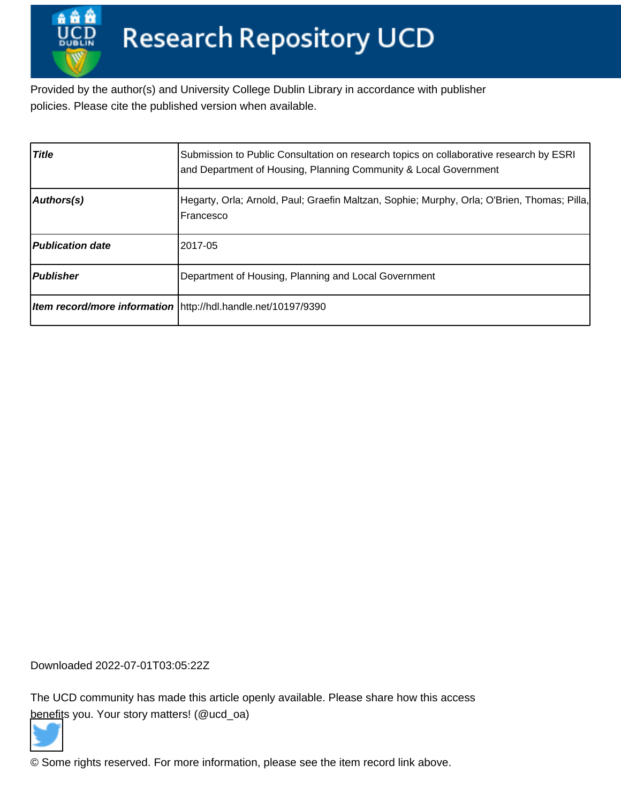Provided by the author(s) and University College Dublin Library in accordance with publisher policies. Please cite the published version when available.

| <b>Title</b>            | Submission to Public Consultation on research topics on collaborative research by ESRI<br>and Department of Housing, Planning Community & Local Government |
|-------------------------|------------------------------------------------------------------------------------------------------------------------------------------------------------|
| Authors(s)              | Hegarty, Orla; Arnold, Paul; Graefin Maltzan, Sophie; Murphy, Orla; O'Brien, Thomas; Pilla,<br>Francesco                                                   |
| <b>Publication date</b> | 2017-05                                                                                                                                                    |
| Publisher               | Department of Housing, Planning and Local Government                                                                                                       |
|                         | Item record/more information   http://hdl.handle.net/10197/9390                                                                                            |

Downloaded 2022-07-01T03:05:22Z

The UCD community has made this article openly available. Please share how this access [benefit](https://twitter.com/intent/tweet?via=ucd_oa&text=Submission+to+Public+Consultation+on+...&url=http%3A%2F%2Fhdl.handle.net%2F10197%2F9390)s you. Your story matters! (@ucd\_oa)



© Some rights reserved. For more information, please see the item record link above.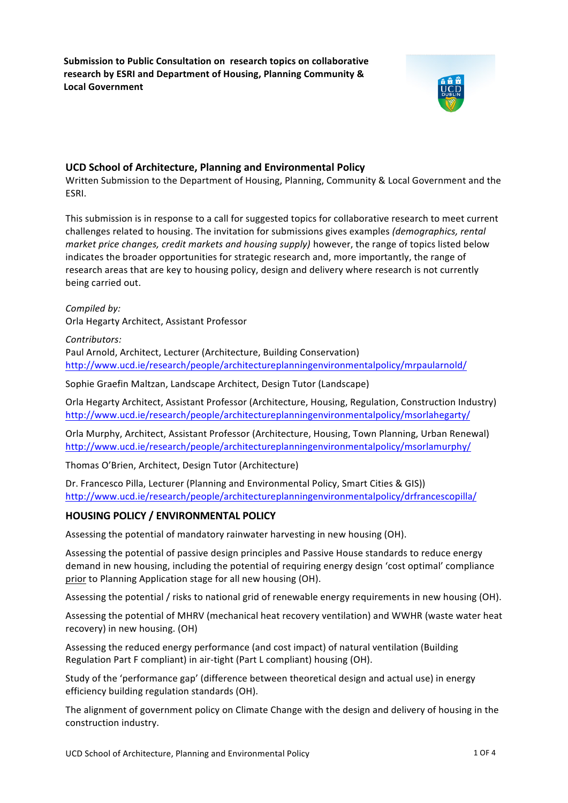**Submission to Public Consultation on research topics on collaborative** research by ESRI and Department of Housing, Planning Community & **Local Government**



# **UCD School of Architecture, Planning and Environmental Policy**

Written Submission to the Department of Housing, Planning, Community & Local Government and the ESRI. 

This submission is in response to a call for suggested topics for collaborative research to meet current challenges related to housing. The invitation for submissions gives examples (*demographics, rental market price changes, credit markets and housing supply)* however, the range of topics listed below indicates the broader opportunities for strategic research and, more importantly, the range of research areas that are key to housing policy, design and delivery where research is not currently being carried out.

Compiled by: Orla Hegarty Architect, Assistant Professor

*Contributors:* Paul Arnold, Architect, Lecturer (Architecture, Building Conservation) http://www.ucd.ie/research/people/architectureplanningenvironmentalpolicy/mrpaularnold/

Sophie Graefin Maltzan, Landscape Architect, Design Tutor (Landscape)

Orla Hegarty Architect, Assistant Professor (Architecture, Housing, Regulation, Construction Industry) http://www.ucd.ie/research/people/architectureplanningenvironmentalpolicy/msorlahegarty/

Orla Murphy, Architect, Assistant Professor (Architecture, Housing, Town Planning, Urban Renewal) http://www.ucd.ie/research/people/architectureplanningenvironmentalpolicy/msorlamurphy/

Thomas O'Brien, Architect, Design Tutor (Architecture)

Dr. Francesco Pilla, Lecturer (Planning and Environmental Policy, Smart Cities & GIS)) http://www.ucd.ie/research/people/architectureplanningenvironmentalpolicy/drfrancescopilla/

# **HOUSING POLICY / ENVIRONMENTAL POLICY**

Assessing the potential of mandatory rainwater harvesting in new housing (OH).

Assessing the potential of passive design principles and Passive House standards to reduce energy demand in new housing, including the potential of requiring energy design 'cost optimal' compliance prior to Planning Application stage for all new housing (OH).

Assessing the potential / risks to national grid of renewable energy requirements in new housing (OH).

Assessing the potential of MHRV (mechanical heat recovery ventilation) and WWHR (waste water heat recovery) in new housing. (OH)

Assessing the reduced energy performance (and cost impact) of natural ventilation (Building Regulation Part F compliant) in air-tight (Part L compliant) housing (OH).

Study of the 'performance gap' (difference between theoretical design and actual use) in energy efficiency building regulation standards (OH).

The alignment of government policy on Climate Change with the design and delivery of housing in the construction industry.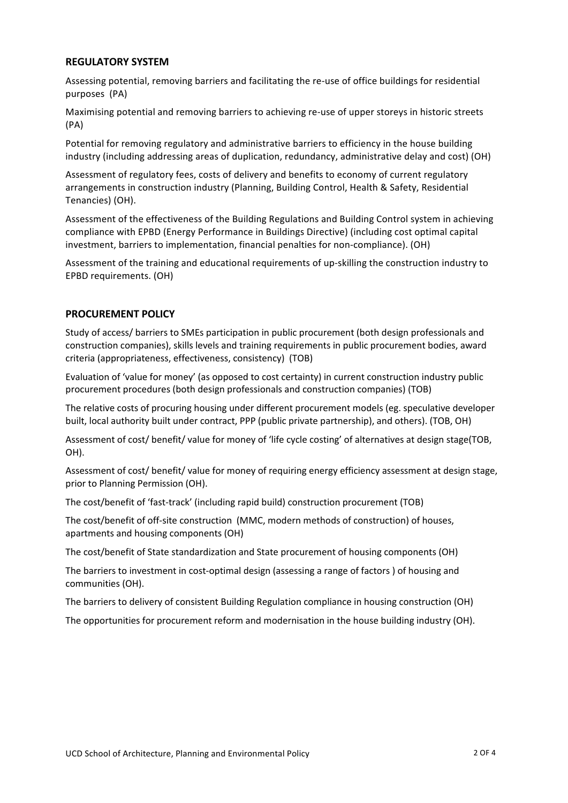### **REGULATORY SYSTEM**

Assessing potential, removing barriers and facilitating the re-use of office buildings for residential purposes (PA)

Maximising potential and removing barriers to achieving re-use of upper storeys in historic streets (PA)

Potential for removing regulatory and administrative barriers to efficiency in the house building industry (including addressing areas of duplication, redundancy, administrative delay and cost) (OH)

Assessment of regulatory fees, costs of delivery and benefits to economy of current regulatory arrangements in construction industry (Planning, Building Control, Health & Safety, Residential Tenancies) (OH).

Assessment of the effectiveness of the Building Regulations and Building Control system in achieving compliance with EPBD (Energy Performance in Buildings Directive) (including cost optimal capital investment, barriers to implementation, financial penalties for non-compliance). (OH)

Assessment of the training and educational requirements of up-skilling the construction industry to EPBD requirements. (OH)

### **PROCUREMENT POLICY**

Study of access/ barriers to SMEs participation in public procurement (both design professionals and construction companies), skills levels and training requirements in public procurement bodies, award criteria (appropriateness, effectiveness, consistency) (TOB)

Evaluation of 'value for money' (as opposed to cost certainty) in current construction industry public procurement procedures (both design professionals and construction companies) (TOB)

The relative costs of procuring housing under different procurement models (eg. speculative developer built, local authority built under contract, PPP (public private partnership), and others). (TOB, OH)

Assessment of cost/ benefit/ value for money of 'life cycle costing' of alternatives at design stage(TOB, OH).

Assessment of cost/ benefit/ value for money of requiring energy efficiency assessment at design stage, prior to Planning Permission (OH).

The cost/benefit of 'fast-track' (including rapid build) construction procurement (TOB)

The cost/benefit of off-site construction (MMC, modern methods of construction) of houses, apartments and housing components (OH)

The cost/benefit of State standardization and State procurement of housing components (OH)

The barriers to investment in cost-optimal design (assessing a range of factors) of housing and communities (OH).

The barriers to delivery of consistent Building Regulation compliance in housing construction (OH)

The opportunities for procurement reform and modernisation in the house building industry (OH).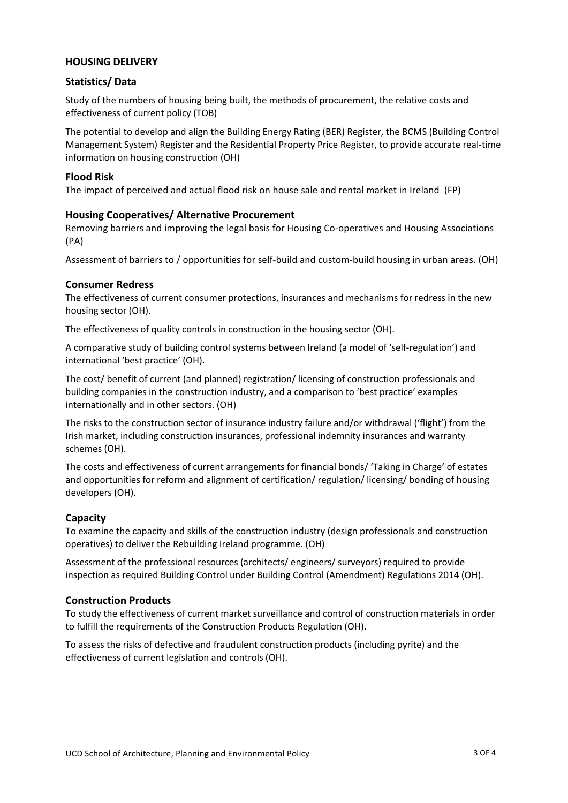# **HOUSING DELIVERY**

# **Statistics/ Data**

Study of the numbers of housing being built, the methods of procurement, the relative costs and effectiveness of current policy (TOB)

The potential to develop and align the Building Energy Rating (BER) Register, the BCMS (Building Control Management System) Register and the Residential Property Price Register, to provide accurate real-time information on housing construction (OH)

### **Flood Risk**

The impact of perceived and actual flood risk on house sale and rental market in Ireland (FP)

### **Housing Cooperatives/ Alternative Procurement**

Removing barriers and improving the legal basis for Housing Co-operatives and Housing Associations (PA)

Assessment of barriers to / opportunities for self-build and custom-build housing in urban areas. (OH)

### **Consumer Redress**

The effectiveness of current consumer protections, insurances and mechanisms for redress in the new housing sector (OH).

The effectiveness of quality controls in construction in the housing sector (OH).

A comparative study of building control systems between Ireland (a model of 'self-regulation') and international 'best practice' (OH).

The cost/ benefit of current (and planned) registration/ licensing of construction professionals and building companies in the construction industry, and a comparison to 'best practice' examples internationally and in other sectors. (OH)

The risks to the construction sector of insurance industry failure and/or withdrawal ('flight') from the Irish market, including construction insurances, professional indemnity insurances and warranty schemes (OH).

The costs and effectiveness of current arrangements for financial bonds/ 'Taking in Charge' of estates and opportunities for reform and alignment of certification/ regulation/ licensing/ bonding of housing developers (OH).

### **Capacity**

To examine the capacity and skills of the construction industry (design professionals and construction operatives) to deliver the Rebuilding Ireland programme. (OH)

Assessment of the professional resources (architects/ engineers/ surveyors) required to provide inspection as required Building Control under Building Control (Amendment) Regulations 2014 (OH).

### **Construction Products**

To study the effectiveness of current market surveillance and control of construction materials in order to fulfill the requirements of the Construction Products Regulation (OH).

To assess the risks of defective and fraudulent construction products (including pyrite) and the effectiveness of current legislation and controls (OH).